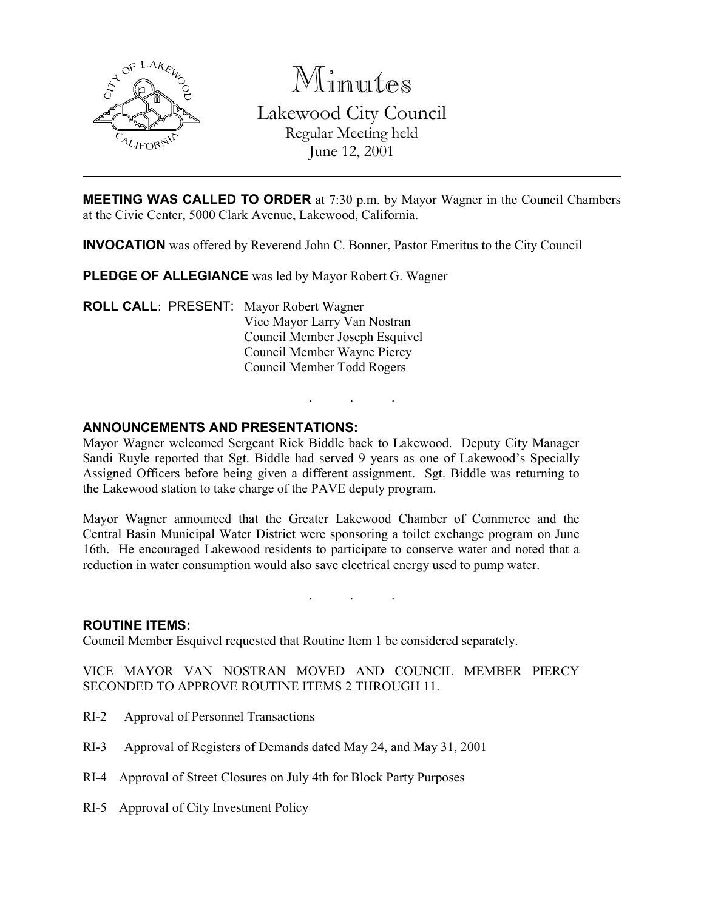

Minutes

Lakewood City Council Regular Meeting held June 12, 2001

**MEETING WAS CALLED TO ORDER** at 7:30 p.m. by Mayor Wagner in the Council Chambers at the Civic Center, 5000 Clark Avenue, Lakewood, California.

INVOCATION was offered by Reverend John C. Bonner, Pastor Emeritus to the City Council

PLEDGE OF ALLEGIANCE was led by Mayor Robert G. Wagner

ROLL CALL: PRESENT: Mayor Robert Wagner Vice Mayor Larry Van Nostran Council Member Joseph Esquivel Council Member Wayne Piercy Council Member Todd Rogers

### ANNOUNCEMENTS AND PRESENTATIONS:

Mayor Wagner welcomed Sergeant Rick Biddle back to Lakewood. Deputy City Manager Sandi Ruyle reported that Sgt. Biddle had served 9 years as one of Lakewood's Specially Assigned Officers before being given a different assignment. Sgt. Biddle was returning to the Lakewood station to take charge of the PAVE deputy program.

. . .

Mayor Wagner announced that the Greater Lakewood Chamber of Commerce and the Central Basin Municipal Water District were sponsoring a toilet exchange program on June 16th. He encouraged Lakewood residents to participate to conserve water and noted that a reduction in water consumption would also save electrical energy used to pump water.

. . .

#### ROUTINE ITEMS:

Council Member Esquivel requested that Routine Item 1 be considered separately.

VICE MAYOR VAN NOSTRAN MOVED AND COUNCIL MEMBER PIERCY SECONDED TO APPROVE ROUTINE ITEMS 2 THROUGH 11.

- RI-2 Approval of Personnel Transactions
- RI-3 Approval of Registers of Demands dated May 24, and May 31, 2001
- RI-4 Approval of Street Closures on July 4th for Block Party Purposes
- RI-5 Approval of City Investment Policy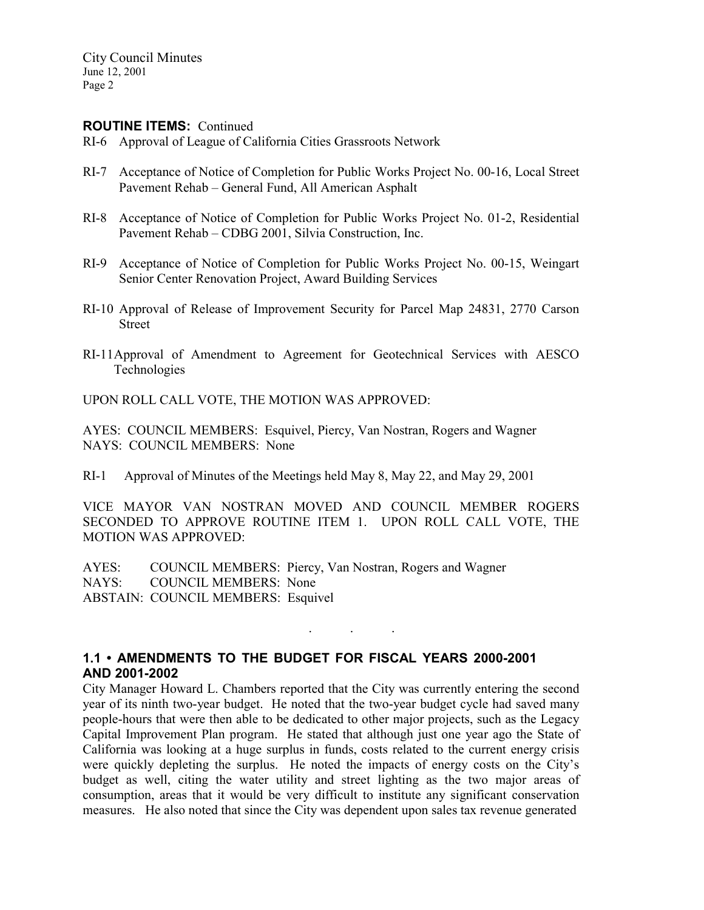#### ROUTINE ITEMS: Continued

- RI-6 Approval of League of California Cities Grassroots Network
- RI-7 Acceptance of Notice of Completion for Public Works Project No. 00-16, Local Street Pavement Rehab – General Fund, All American Asphalt
- RI-8 Acceptance of Notice of Completion for Public Works Project No. 01-2, Residential Pavement Rehab – CDBG 2001, Silvia Construction, Inc.
- RI-9 Acceptance of Notice of Completion for Public Works Project No. 00-15, Weingart Senior Center Renovation Project, Award Building Services
- RI-10 Approval of Release of Improvement Security for Parcel Map 24831, 2770 Carson Street
- RI-11Approval of Amendment to Agreement for Geotechnical Services with AESCO Technologies

UPON ROLL CALL VOTE, THE MOTION WAS APPROVED:

AYES: COUNCIL MEMBERS: Esquivel, Piercy, Van Nostran, Rogers and Wagner NAYS: COUNCIL MEMBERS: None

RI-1 Approval of Minutes of the Meetings held May 8, May 22, and May 29, 2001

VICE MAYOR VAN NOSTRAN MOVED AND COUNCIL MEMBER ROGERS SECONDED TO APPROVE ROUTINE ITEM 1. UPON ROLL CALL VOTE, THE MOTION WAS APPROVED:

. . .

AYES: COUNCIL MEMBERS: Piercy, Van Nostran, Rogers and Wagner NAYS: COUNCIL MEMBERS: None ABSTAIN: COUNCIL MEMBERS: Esquivel

# 1.1 • AMENDMENTS TO THE BUDGET FOR FISCAL YEARS 2000-2001 AND 2001-2002

City Manager Howard L. Chambers reported that the City was currently entering the second year of its ninth two-year budget. He noted that the two-year budget cycle had saved many people-hours that were then able to be dedicated to other major projects, such as the Legacy Capital Improvement Plan program. He stated that although just one year ago the State of California was looking at a huge surplus in funds, costs related to the current energy crisis were quickly depleting the surplus. He noted the impacts of energy costs on the City's budget as well, citing the water utility and street lighting as the two major areas of consumption, areas that it would be very difficult to institute any significant conservation measures. He also noted that since the City was dependent upon sales tax revenue generated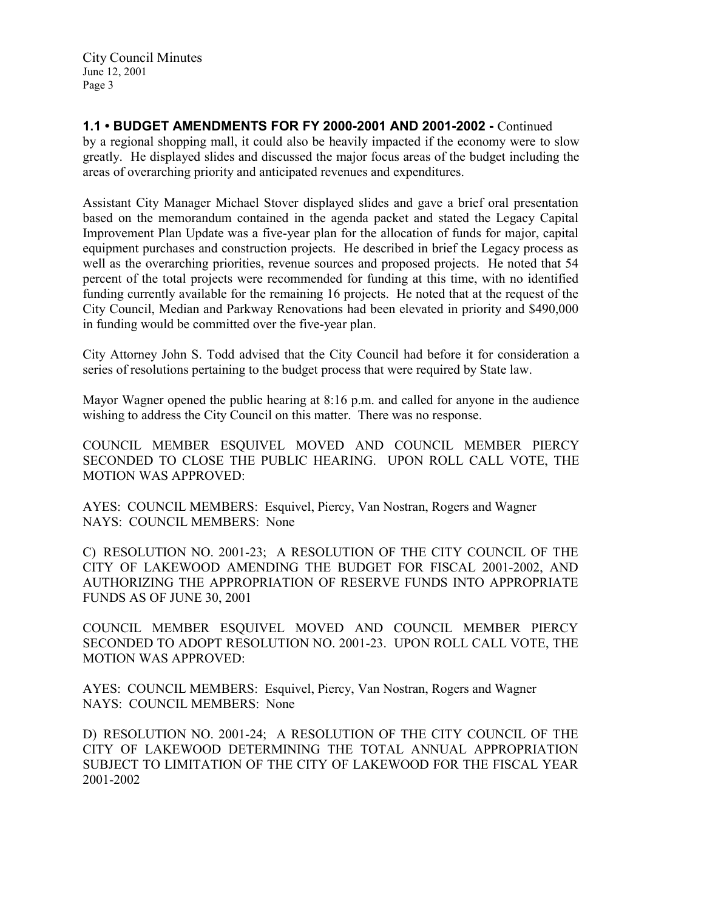1.1 • BUDGET AMENDMENTS FOR FY 2000-2001 AND 2001-2002 - Continued by a regional shopping mall, it could also be heavily impacted if the economy were to slow greatly. He displayed slides and discussed the major focus areas of the budget including the areas of overarching priority and anticipated revenues and expenditures.

Assistant City Manager Michael Stover displayed slides and gave a brief oral presentation based on the memorandum contained in the agenda packet and stated the Legacy Capital Improvement Plan Update was a five-year plan for the allocation of funds for major, capital equipment purchases and construction projects. He described in brief the Legacy process as well as the overarching priorities, revenue sources and proposed projects. He noted that 54 percent of the total projects were recommended for funding at this time, with no identified funding currently available for the remaining 16 projects. He noted that at the request of the City Council, Median and Parkway Renovations had been elevated in priority and \$490,000 in funding would be committed over the five-year plan.

City Attorney John S. Todd advised that the City Council had before it for consideration a series of resolutions pertaining to the budget process that were required by State law.

Mayor Wagner opened the public hearing at 8:16 p.m. and called for anyone in the audience wishing to address the City Council on this matter. There was no response.

COUNCIL MEMBER ESQUIVEL MOVED AND COUNCIL MEMBER PIERCY SECONDED TO CLOSE THE PUBLIC HEARING. UPON ROLL CALL VOTE, THE MOTION WAS APPROVED:

AYES: COUNCIL MEMBERS: Esquivel, Piercy, Van Nostran, Rogers and Wagner NAYS: COUNCIL MEMBERS: None

C) RESOLUTION NO. 2001-23; A RESOLUTION OF THE CITY COUNCIL OF THE CITY OF LAKEWOOD AMENDING THE BUDGET FOR FISCAL 2001-2002, AND AUTHORIZING THE APPROPRIATION OF RESERVE FUNDS INTO APPROPRIATE FUNDS AS OF JUNE 30, 2001

COUNCIL MEMBER ESQUIVEL MOVED AND COUNCIL MEMBER PIERCY SECONDED TO ADOPT RESOLUTION NO. 2001-23. UPON ROLL CALL VOTE, THE MOTION WAS APPROVED:

AYES: COUNCIL MEMBERS: Esquivel, Piercy, Van Nostran, Rogers and Wagner NAYS: COUNCIL MEMBERS: None

D) RESOLUTION NO. 2001-24; A RESOLUTION OF THE CITY COUNCIL OF THE CITY OF LAKEWOOD DETERMINING THE TOTAL ANNUAL APPROPRIATION SUBJECT TO LIMITATION OF THE CITY OF LAKEWOOD FOR THE FISCAL YEAR 2001-2002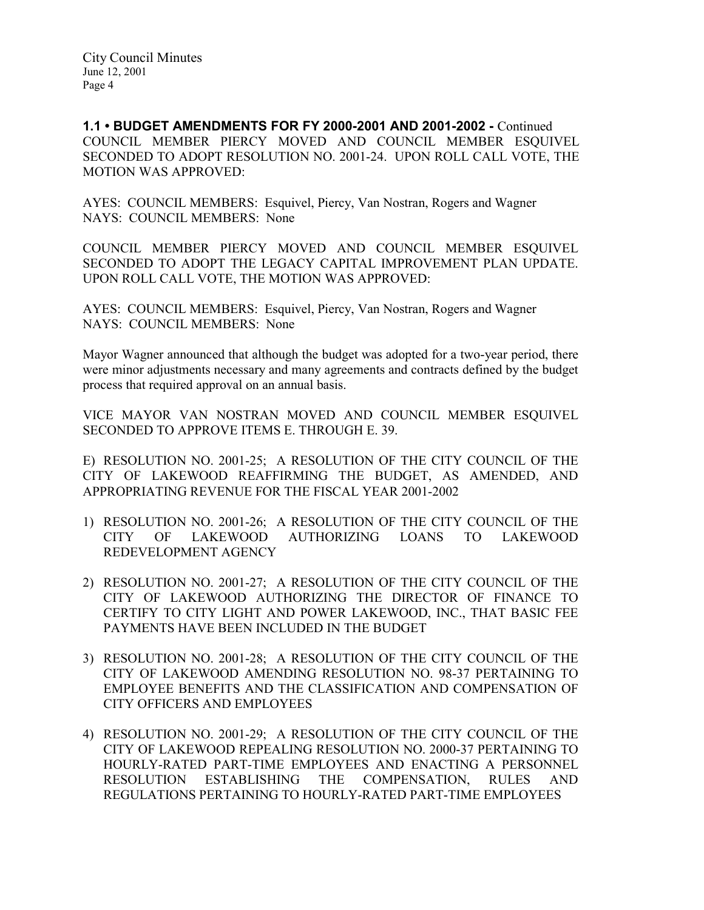1.1 • BUDGET AMENDMENTS FOR FY 2000-2001 AND 2001-2002 - Continued COUNCIL MEMBER PIERCY MOVED AND COUNCIL MEMBER ESQUIVEL SECONDED TO ADOPT RESOLUTION NO. 2001-24. UPON ROLL CALL VOTE, THE MOTION WAS APPROVED:

AYES: COUNCIL MEMBERS: Esquivel, Piercy, Van Nostran, Rogers and Wagner NAYS: COUNCIL MEMBERS: None

COUNCIL MEMBER PIERCY MOVED AND COUNCIL MEMBER ESQUIVEL SECONDED TO ADOPT THE LEGACY CAPITAL IMPROVEMENT PLAN UPDATE. UPON ROLL CALL VOTE, THE MOTION WAS APPROVED:

AYES: COUNCIL MEMBERS: Esquivel, Piercy, Van Nostran, Rogers and Wagner NAYS: COUNCIL MEMBERS: None

Mayor Wagner announced that although the budget was adopted for a two-year period, there were minor adjustments necessary and many agreements and contracts defined by the budget process that required approval on an annual basis.

VICE MAYOR VAN NOSTRAN MOVED AND COUNCIL MEMBER ESQUIVEL SECONDED TO APPROVE ITEMS E. THROUGH E. 39.

E) RESOLUTION NO. 2001-25; A RESOLUTION OF THE CITY COUNCIL OF THE CITY OF LAKEWOOD REAFFIRMING THE BUDGET, AS AMENDED, AND APPROPRIATING REVENUE FOR THE FISCAL YEAR 2001-2002

- 1) RESOLUTION NO. 2001-26; A RESOLUTION OF THE CITY COUNCIL OF THE CITY OF LAKEWOOD AUTHORIZING LOANS TO LAKEWOOD REDEVELOPMENT AGENCY
- 2) RESOLUTION NO. 2001-27; A RESOLUTION OF THE CITY COUNCIL OF THE CITY OF LAKEWOOD AUTHORIZING THE DIRECTOR OF FINANCE TO CERTIFY TO CITY LIGHT AND POWER LAKEWOOD, INC., THAT BASIC FEE PAYMENTS HAVE BEEN INCLUDED IN THE BUDGET
- 3) RESOLUTION NO. 2001-28; A RESOLUTION OF THE CITY COUNCIL OF THE CITY OF LAKEWOOD AMENDING RESOLUTION NO. 98-37 PERTAINING TO EMPLOYEE BENEFITS AND THE CLASSIFICATION AND COMPENSATION OF CITY OFFICERS AND EMPLOYEES
- 4) RESOLUTION NO. 2001-29; A RESOLUTION OF THE CITY COUNCIL OF THE CITY OF LAKEWOOD REPEALING RESOLUTION NO. 2000-37 PERTAINING TO HOURLY-RATED PART-TIME EMPLOYEES AND ENACTING A PERSONNEL RESOLUTION ESTABLISHING THE COMPENSATION, RULES AND REGULATIONS PERTAINING TO HOURLY-RATED PART-TIME EMPLOYEES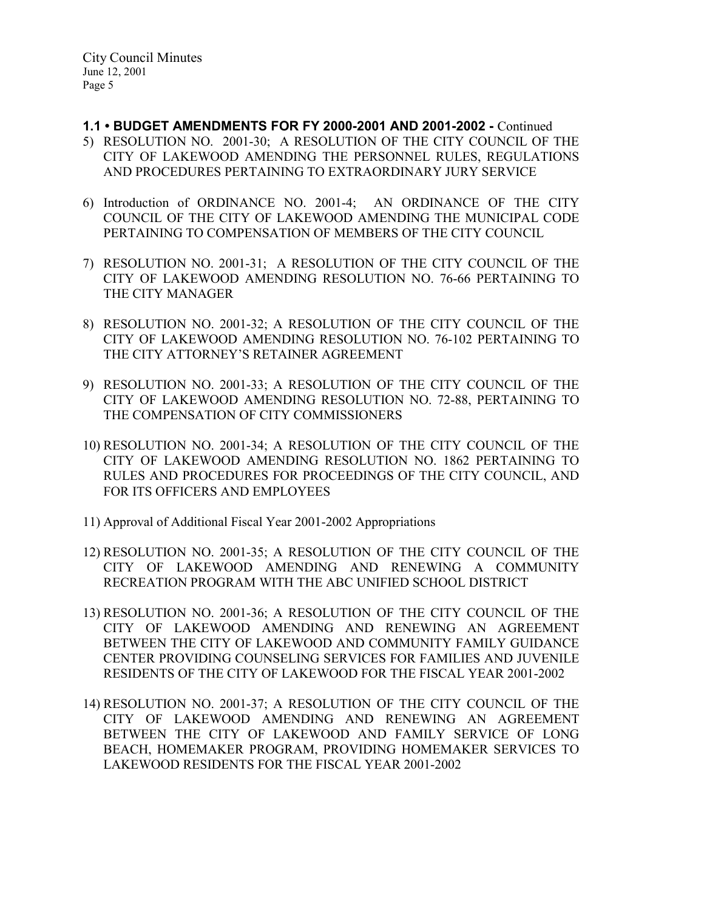- 1.1 BUDGET AMENDMENTS FOR FY 2000-2001 AND 2001-2002 Continued
- 5) RESOLUTION NO. 2001-30; A RESOLUTION OF THE CITY COUNCIL OF THE CITY OF LAKEWOOD AMENDING THE PERSONNEL RULES, REGULATIONS AND PROCEDURES PERTAINING TO EXTRAORDINARY JURY SERVICE
- 6) Introduction of ORDINANCE NO. 2001-4; AN ORDINANCE OF THE CITY COUNCIL OF THE CITY OF LAKEWOOD AMENDING THE MUNICIPAL CODE PERTAINING TO COMPENSATION OF MEMBERS OF THE CITY COUNCIL
- 7) RESOLUTION NO. 2001-31; A RESOLUTION OF THE CITY COUNCIL OF THE CITY OF LAKEWOOD AMENDING RESOLUTION NO. 76-66 PERTAINING TO THE CITY MANAGER
- 8) RESOLUTION NO. 2001-32; A RESOLUTION OF THE CITY COUNCIL OF THE CITY OF LAKEWOOD AMENDING RESOLUTION NO. 76-102 PERTAINING TO THE CITY ATTORNEY'S RETAINER AGREEMENT
- 9) RESOLUTION NO. 2001-33; A RESOLUTION OF THE CITY COUNCIL OF THE CITY OF LAKEWOOD AMENDING RESOLUTION NO. 72-88, PERTAINING TO THE COMPENSATION OF CITY COMMISSIONERS
- 10) RESOLUTION NO. 2001-34; A RESOLUTION OF THE CITY COUNCIL OF THE CITY OF LAKEWOOD AMENDING RESOLUTION NO. 1862 PERTAINING TO RULES AND PROCEDURES FOR PROCEEDINGS OF THE CITY COUNCIL, AND FOR ITS OFFICERS AND EMPLOYEES
- 11) Approval of Additional Fiscal Year 2001-2002 Appropriations
- 12) RESOLUTION NO. 2001-35; A RESOLUTION OF THE CITY COUNCIL OF THE CITY OF LAKEWOOD AMENDING AND RENEWING A COMMUNITY RECREATION PROGRAM WITH THE ABC UNIFIED SCHOOL DISTRICT
- 13) RESOLUTION NO. 2001-36; A RESOLUTION OF THE CITY COUNCIL OF THE CITY OF LAKEWOOD AMENDING AND RENEWING AN AGREEMENT BETWEEN THE CITY OF LAKEWOOD AND COMMUNITY FAMILY GUIDANCE CENTER PROVIDING COUNSELING SERVICES FOR FAMILIES AND JUVENILE RESIDENTS OF THE CITY OF LAKEWOOD FOR THE FISCAL YEAR 2001-2002
- 14) RESOLUTION NO. 2001-37; A RESOLUTION OF THE CITY COUNCIL OF THE CITY OF LAKEWOOD AMENDING AND RENEWING AN AGREEMENT BETWEEN THE CITY OF LAKEWOOD AND FAMILY SERVICE OF LONG BEACH, HOMEMAKER PROGRAM, PROVIDING HOMEMAKER SERVICES TO LAKEWOOD RESIDENTS FOR THE FISCAL YEAR 2001-2002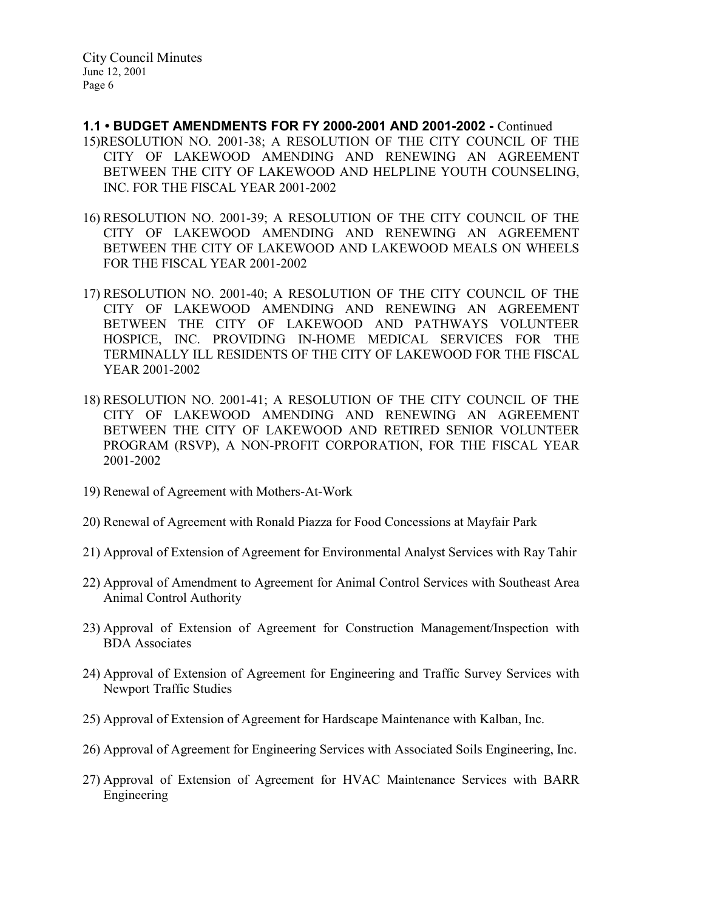- 1.1 BUDGET AMENDMENTS FOR FY 2000-2001 AND 2001-2002 Continued 15)RESOLUTION NO. 2001-38; A RESOLUTION OF THE CITY COUNCIL OF THE CITY OF LAKEWOOD AMENDING AND RENEWING AN AGREEMENT BETWEEN THE CITY OF LAKEWOOD AND HELPLINE YOUTH COUNSELING, INC. FOR THE FISCAL YEAR 2001-2002
- 16) RESOLUTION NO. 2001-39; A RESOLUTION OF THE CITY COUNCIL OF THE CITY OF LAKEWOOD AMENDING AND RENEWING AN AGREEMENT BETWEEN THE CITY OF LAKEWOOD AND LAKEWOOD MEALS ON WHEELS FOR THE FISCAL YEAR 2001-2002
- 17) RESOLUTION NO. 2001-40; A RESOLUTION OF THE CITY COUNCIL OF THE CITY OF LAKEWOOD AMENDING AND RENEWING AN AGREEMENT BETWEEN THE CITY OF LAKEWOOD AND PATHWAYS VOLUNTEER HOSPICE, INC. PROVIDING IN-HOME MEDICAL SERVICES FOR THE TERMINALLY ILL RESIDENTS OF THE CITY OF LAKEWOOD FOR THE FISCAL YEAR 2001-2002
- 18) RESOLUTION NO. 2001-41; A RESOLUTION OF THE CITY COUNCIL OF THE CITY OF LAKEWOOD AMENDING AND RENEWING AN AGREEMENT BETWEEN THE CITY OF LAKEWOOD AND RETIRED SENIOR VOLUNTEER PROGRAM (RSVP), A NON-PROFIT CORPORATION, FOR THE FISCAL YEAR 2001-2002
- 19) Renewal of Agreement with Mothers-At-Work
- 20) Renewal of Agreement with Ronald Piazza for Food Concessions at Mayfair Park
- 21) Approval of Extension of Agreement for Environmental Analyst Services with Ray Tahir
- 22) Approval of Amendment to Agreement for Animal Control Services with Southeast Area Animal Control Authority
- 23) Approval of Extension of Agreement for Construction Management/Inspection with BDA Associates
- 24) Approval of Extension of Agreement for Engineering and Traffic Survey Services with Newport Traffic Studies
- 25) Approval of Extension of Agreement for Hardscape Maintenance with Kalban, Inc.
- 26) Approval of Agreement for Engineering Services with Associated Soils Engineering, Inc.
- 27) Approval of Extension of Agreement for HVAC Maintenance Services with BARR Engineering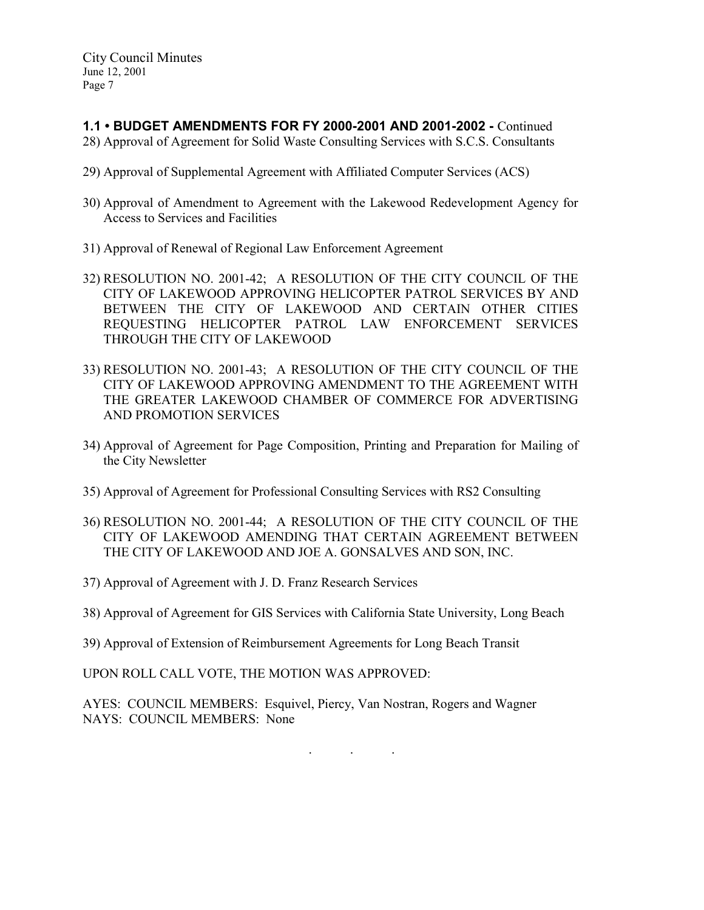1.1 • BUDGET AMENDMENTS FOR FY 2000-2001 AND 2001-2002 - Continued

- 28) Approval of Agreement for Solid Waste Consulting Services with S.C.S. Consultants
- 29) Approval of Supplemental Agreement with Affiliated Computer Services (ACS)
- 30) Approval of Amendment to Agreement with the Lakewood Redevelopment Agency for Access to Services and Facilities
- 31) Approval of Renewal of Regional Law Enforcement Agreement
- 32) RESOLUTION NO. 2001-42; A RESOLUTION OF THE CITY COUNCIL OF THE CITY OF LAKEWOOD APPROVING HELICOPTER PATROL SERVICES BY AND BETWEEN THE CITY OF LAKEWOOD AND CERTAIN OTHER CITIES REQUESTING HELICOPTER PATROL LAW ENFORCEMENT SERVICES THROUGH THE CITY OF LAKEWOOD
- 33) RESOLUTION NO. 2001-43; A RESOLUTION OF THE CITY COUNCIL OF THE CITY OF LAKEWOOD APPROVING AMENDMENT TO THE AGREEMENT WITH THE GREATER LAKEWOOD CHAMBER OF COMMERCE FOR ADVERTISING AND PROMOTION SERVICES
- 34) Approval of Agreement for Page Composition, Printing and Preparation for Mailing of the City Newsletter
- 35) Approval of Agreement for Professional Consulting Services with RS2 Consulting
- 36) RESOLUTION NO. 2001-44; A RESOLUTION OF THE CITY COUNCIL OF THE CITY OF LAKEWOOD AMENDING THAT CERTAIN AGREEMENT BETWEEN THE CITY OF LAKEWOOD AND JOE A. GONSALVES AND SON, INC.
- 37) Approval of Agreement with J. D. Franz Research Services
- 38) Approval of Agreement for GIS Services with California State University, Long Beach
- 39) Approval of Extension of Reimbursement Agreements for Long Beach Transit

UPON ROLL CALL VOTE, THE MOTION WAS APPROVED:

AYES: COUNCIL MEMBERS: Esquivel, Piercy, Van Nostran, Rogers and Wagner NAYS: COUNCIL MEMBERS: None

. . .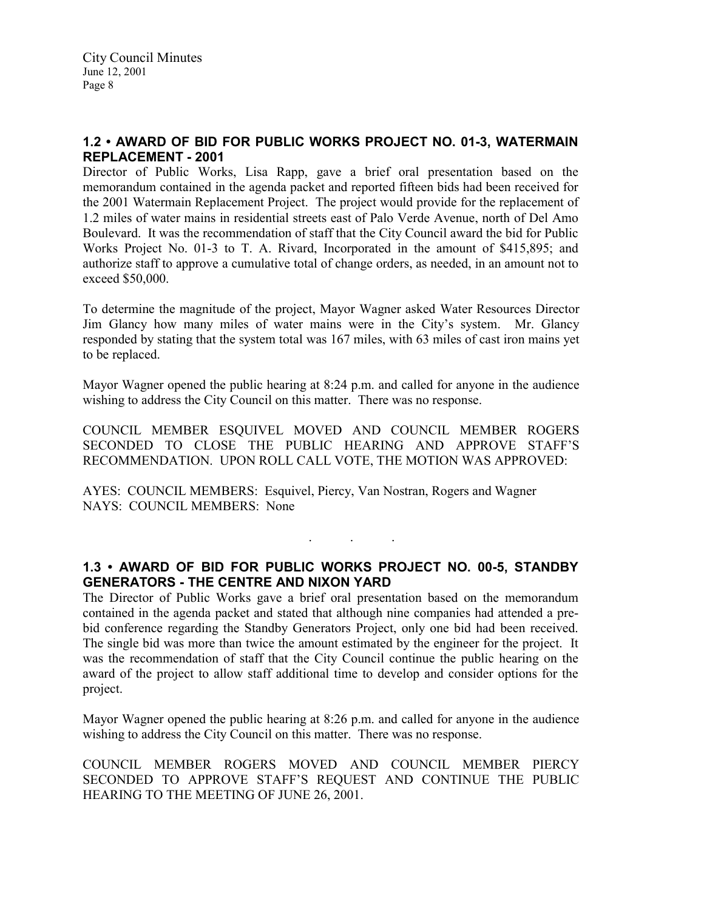# 1.2 • AWARD OF BID FOR PUBLIC WORKS PROJECT NO. 01-3, WATERMAIN REPLACEMENT - 2001

Director of Public Works, Lisa Rapp, gave a brief oral presentation based on the memorandum contained in the agenda packet and reported fifteen bids had been received for the 2001 Watermain Replacement Project. The project would provide for the replacement of 1.2 miles of water mains in residential streets east of Palo Verde Avenue, north of Del Amo Boulevard. It was the recommendation of staff that the City Council award the bid for Public Works Project No. 01-3 to T. A. Rivard, Incorporated in the amount of \$415,895; and authorize staff to approve a cumulative total of change orders, as needed, in an amount not to exceed \$50,000.

To determine the magnitude of the project, Mayor Wagner asked Water Resources Director Jim Glancy how many miles of water mains were in the City's system. Mr. Glancy responded by stating that the system total was 167 miles, with 63 miles of cast iron mains yet to be replaced.

Mayor Wagner opened the public hearing at 8:24 p.m. and called for anyone in the audience wishing to address the City Council on this matter. There was no response.

COUNCIL MEMBER ESQUIVEL MOVED AND COUNCIL MEMBER ROGERS SECONDED TO CLOSE THE PUBLIC HEARING AND APPROVE STAFF'S RECOMMENDATION. UPON ROLL CALL VOTE, THE MOTION WAS APPROVED:

AYES: COUNCIL MEMBERS: Esquivel, Piercy, Van Nostran, Rogers and Wagner NAYS: COUNCIL MEMBERS: None

# 1.3 • AWARD OF BID FOR PUBLIC WORKS PROJECT NO. 00-5, STANDBY GENERATORS - THE CENTRE AND NIXON YARD

. . .

The Director of Public Works gave a brief oral presentation based on the memorandum contained in the agenda packet and stated that although nine companies had attended a prebid conference regarding the Standby Generators Project, only one bid had been received. The single bid was more than twice the amount estimated by the engineer for the project. It was the recommendation of staff that the City Council continue the public hearing on the award of the project to allow staff additional time to develop and consider options for the project.

Mayor Wagner opened the public hearing at 8:26 p.m. and called for anyone in the audience wishing to address the City Council on this matter. There was no response.

COUNCIL MEMBER ROGERS MOVED AND COUNCIL MEMBER PIERCY SECONDED TO APPROVE STAFF'S REQUEST AND CONTINUE THE PUBLIC HEARING TO THE MEETING OF JUNE 26, 2001.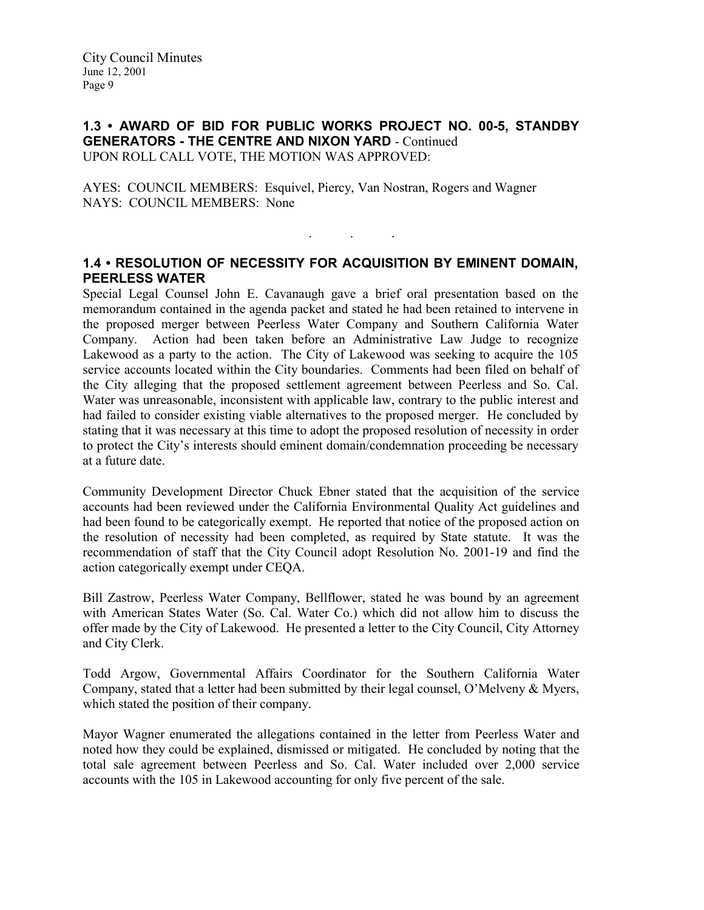#### 1.3 • AWARD OF BID FOR PUBLIC WORKS PROJECT NO. 00-5, STANDBY GENERATORS - THE CENTRE AND NIXON YARD - Continued UPON ROLL CALL VOTE, THE MOTION WAS APPROVED:

AYES: COUNCIL MEMBERS: Esquivel, Piercy, Van Nostran, Rogers and Wagner NAYS: COUNCIL MEMBERS: None

### 1.4 • RESOLUTION OF NECESSITY FOR ACQUISITION BY EMINENT DOMAIN, PEERLESS WATER

. . .

Special Legal Counsel John E. Cavanaugh gave a brief oral presentation based on the memorandum contained in the agenda packet and stated he had been retained to intervene in the proposed merger between Peerless Water Company and Southern California Water Company. Action had been taken before an Administrative Law Judge to recognize Lakewood as a party to the action. The City of Lakewood was seeking to acquire the 105 service accounts located within the City boundaries. Comments had been filed on behalf of the City alleging that the proposed settlement agreement between Peerless and So. Cal. Water was unreasonable, inconsistent with applicable law, contrary to the public interest and had failed to consider existing viable alternatives to the proposed merger. He concluded by stating that it was necessary at this time to adopt the proposed resolution of necessity in order to protect the City's interests should eminent domain/condemnation proceeding be necessary at a future date.

Community Development Director Chuck Ebner stated that the acquisition of the service accounts had been reviewed under the California Environmental Quality Act guidelines and had been found to be categorically exempt. He reported that notice of the proposed action on the resolution of necessity had been completed, as required by State statute. It was the recommendation of staff that the City Council adopt Resolution No. 2001-19 and find the action categorically exempt under CEQA.

Bill Zastrow, Peerless Water Company, Bellflower, stated he was bound by an agreement with American States Water (So. Cal. Water Co.) which did not allow him to discuss the offer made by the City of Lakewood. He presented a letter to the City Council, City Attorney and City Clerk.

Todd Argow, Governmental Affairs Coordinator for the Southern California Water Company, stated that a letter had been submitted by their legal counsel, O'Melveny & Myers, which stated the position of their company.

Mayor Wagner enumerated the allegations contained in the letter from Peerless Water and noted how they could be explained, dismissed or mitigated. He concluded by noting that the total sale agreement between Peerless and So. Cal. Water included over 2,000 service accounts with the 105 in Lakewood accounting for only five percent of the sale.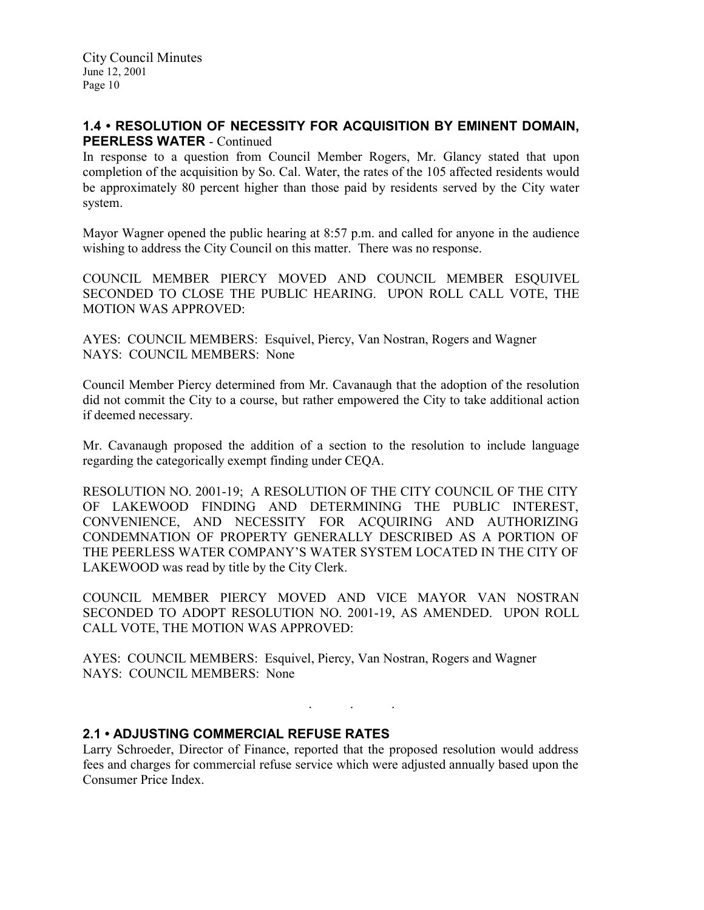### 1.4 • RESOLUTION OF NECESSITY FOR ACQUISITION BY EMINENT DOMAIN, PEERLESS WATER - Continued

In response to a question from Council Member Rogers, Mr. Glancy stated that upon completion of the acquisition by So. Cal. Water, the rates of the 105 affected residents would be approximately 80 percent higher than those paid by residents served by the City water system.

Mayor Wagner opened the public hearing at 8:57 p.m. and called for anyone in the audience wishing to address the City Council on this matter. There was no response.

COUNCIL MEMBER PIERCY MOVED AND COUNCIL MEMBER ESQUIVEL SECONDED TO CLOSE THE PUBLIC HEARING. UPON ROLL CALL VOTE, THE MOTION WAS APPROVED:

AYES: COUNCIL MEMBERS: Esquivel, Piercy, Van Nostran, Rogers and Wagner NAYS: COUNCIL MEMBERS: None

Council Member Piercy determined from Mr. Cavanaugh that the adoption of the resolution did not commit the City to a course, but rather empowered the City to take additional action if deemed necessary.

Mr. Cavanaugh proposed the addition of a section to the resolution to include language regarding the categorically exempt finding under CEQA.

RESOLUTION NO. 2001-19; A RESOLUTION OF THE CITY COUNCIL OF THE CITY OF LAKEWOOD FINDING AND DETERMINING THE PUBLIC INTEREST, CONVENIENCE, AND NECESSITY FOR ACQUIRING AND AUTHORIZING CONDEMNATION OF PROPERTY GENERALLY DESCRIBED AS A PORTION OF THE PEERLESS WATER COMPANY'S WATER SYSTEM LOCATED IN THE CITY OF LAKEWOOD was read by title by the City Clerk.

COUNCIL MEMBER PIERCY MOVED AND VICE MAYOR VAN NOSTRAN SECONDED TO ADOPT RESOLUTION NO. 2001-19, AS AMENDED. UPON ROLL CALL VOTE, THE MOTION WAS APPROVED:

AYES: COUNCIL MEMBERS: Esquivel, Piercy, Van Nostran, Rogers and Wagner NAYS: COUNCIL MEMBERS: None

### 2.1 • ADJUSTING COMMERCIAL REFUSE RATES

Larry Schroeder, Director of Finance, reported that the proposed resolution would address fees and charges for commercial refuse service which were adjusted annually based upon the Consumer Price Index.

. . .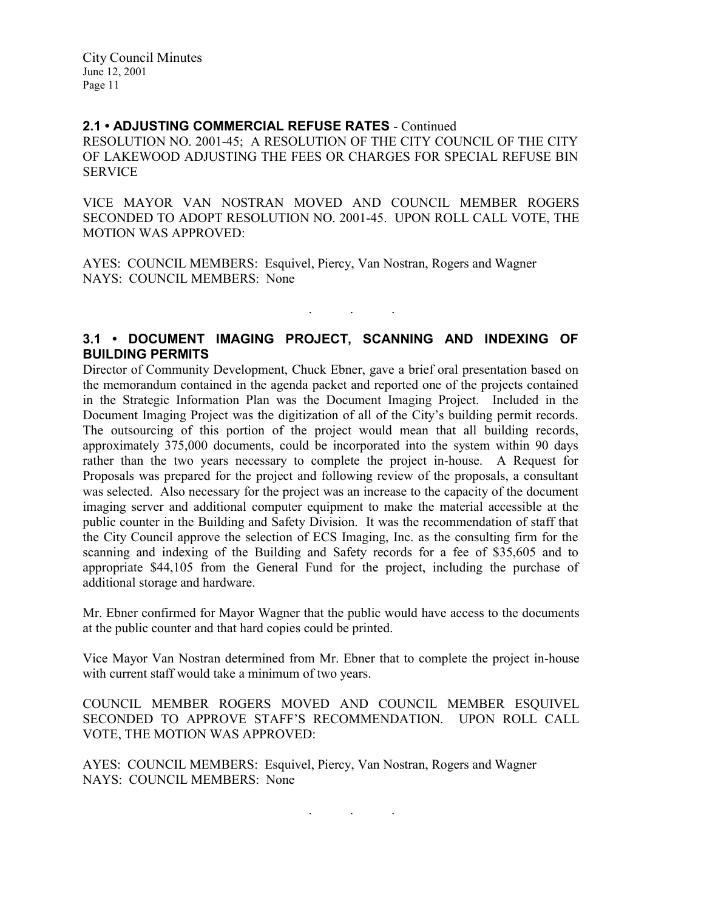#### 2.1 • ADJUSTING COMMERCIAL REFUSE RATES - Continued

RESOLUTION NO. 2001-45; A RESOLUTION OF THE CITY COUNCIL OF THE CITY OF LAKEWOOD ADJUSTING THE FEES OR CHARGES FOR SPECIAL REFUSE BIN SERVICE

VICE MAYOR VAN NOSTRAN MOVED AND COUNCIL MEMBER ROGERS SECONDED TO ADOPT RESOLUTION NO. 2001-45. UPON ROLL CALL VOTE, THE MOTION WAS APPROVED:

AYES: COUNCIL MEMBERS: Esquivel, Piercy, Van Nostran, Rogers and Wagner NAYS: COUNCIL MEMBERS: None

### 3.1 • DOCUMENT IMAGING PROJECT, SCANNING AND INDEXING OF BUILDING PERMITS

. . .

Director of Community Development, Chuck Ebner, gave a brief oral presentation based on the memorandum contained in the agenda packet and reported one of the projects contained in the Strategic Information Plan was the Document Imaging Project. Included in the Document Imaging Project was the digitization of all of the City's building permit records. The outsourcing of this portion of the project would mean that all building records, approximately 375,000 documents, could be incorporated into the system within 90 days rather than the two years necessary to complete the project in-house. A Request for Proposals was prepared for the project and following review of the proposals, a consultant was selected. Also necessary for the project was an increase to the capacity of the document imaging server and additional computer equipment to make the material accessible at the public counter in the Building and Safety Division. It was the recommendation of staff that the City Council approve the selection of ECS Imaging, Inc. as the consulting firm for the scanning and indexing of the Building and Safety records for a fee of \$35,605 and to appropriate \$44,105 from the General Fund for the project, including the purchase of additional storage and hardware.

Mr. Ebner confirmed for Mayor Wagner that the public would have access to the documents at the public counter and that hard copies could be printed.

Vice Mayor Van Nostran determined from Mr. Ebner that to complete the project in-house with current staff would take a minimum of two years.

COUNCIL MEMBER ROGERS MOVED AND COUNCIL MEMBER ESQUIVEL SECONDED TO APPROVE STAFF'S RECOMMENDATION. UPON ROLL CALL VOTE, THE MOTION WAS APPROVED:

AYES: COUNCIL MEMBERS: Esquivel, Piercy, Van Nostran, Rogers and Wagner NAYS: COUNCIL MEMBERS: None

. . .